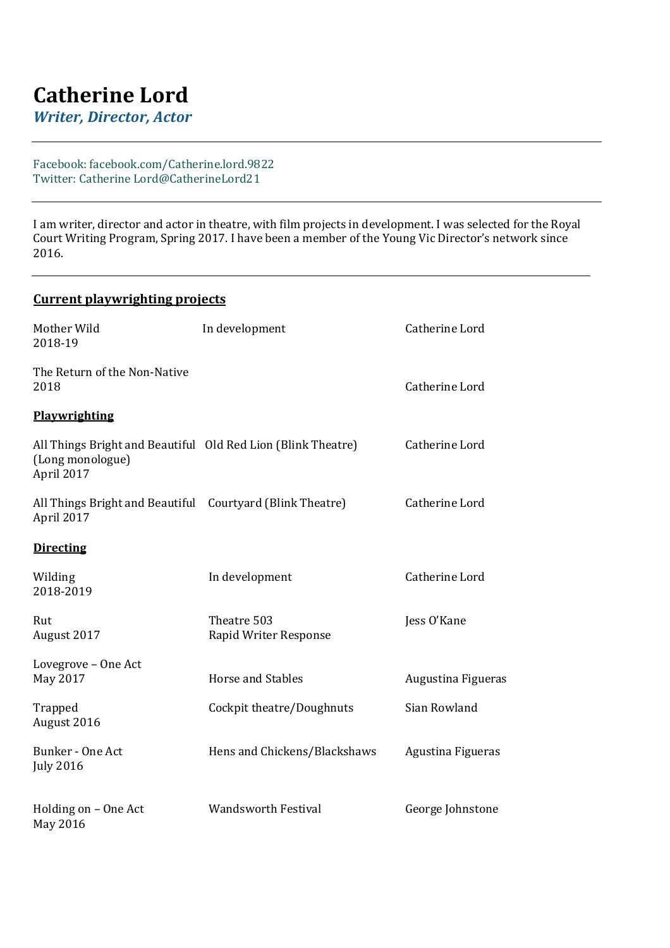## **Catherine Lord**

*Writer, Director, Actor*

## Facebook: facebook.com/Catherine.lord.9822 Twitter: Catherine Lord@CatherineLord21

I am writer, director and actor in theatre, with film projects in development. I was selected for the Royal Court Writing Program, Spring 2017. I have been a member of the Young Vic Director's network since 2016.

| <b>Current playwrighting projects</b>                                                          |                                      |                    |  |
|------------------------------------------------------------------------------------------------|--------------------------------------|--------------------|--|
| Mother Wild<br>2018-19                                                                         | In development                       | Catherine Lord     |  |
| The Return of the Non-Native<br>2018                                                           |                                      | Catherine Lord     |  |
| Playwrighting                                                                                  |                                      |                    |  |
| All Things Bright and Beautiful Old Red Lion (Blink Theatre)<br>(Long monologue)<br>April 2017 |                                      | Catherine Lord     |  |
| All Things Bright and Beautiful Courtyard (Blink Theatre)<br>April 2017                        |                                      | Catherine Lord     |  |
| <b>Directing</b>                                                                               |                                      |                    |  |
| Wilding<br>2018-2019                                                                           | In development                       | Catherine Lord     |  |
| Rut<br>August 2017                                                                             | Theatre 503<br>Rapid Writer Response | Jess O'Kane        |  |
| Lovegrove - One Act<br>May 2017                                                                | <b>Horse and Stables</b>             | Augustina Figueras |  |
| Trapped<br>August 2016                                                                         | Cockpit theatre/Doughnuts            | Sian Rowland       |  |
| <b>Bunker - One Act</b><br><b>July 2016</b>                                                    | Hens and Chickens/Blackshaws         | Agustina Figueras  |  |
| Holding on - One Act<br>May 2016                                                               | <b>Wandsworth Festival</b>           | George Johnstone   |  |